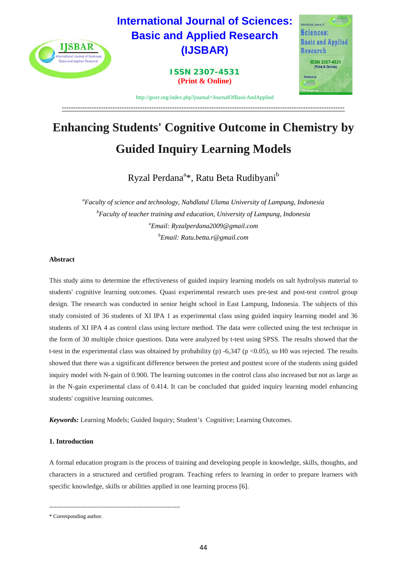

# **Enhancing Students' Cognitive Outcome in Chemistry by Guided Inquiry Learning Models**

Ryzal Perdana<sup>a</sup>\*, Ratu Beta Rudibyani<sup>b</sup>

*a Faculty of science and technology, Nahdlatul Ulama University of Lampung, Indonesia b Faculty of teacher training and education, University of Lampung, Indonesia a Email: Ryzalperdana2009@gmail.com b Email: Ratu.betta.r@gmail.com*

# **Abstract**

This study aims to determine the effectiveness of guided inquiry learning models on salt hydrolysis material to students' cognitive learning outcomes. Quasi experimental research uses pre-test and post-test control group design. The research was conducted in senior height school in East Lampung, Indonesia. The subjects of this study consisted of 36 students of XI IPA 1 as experimental class using guided inquiry learning model and 36 students of XI IPA 4 as control class using lecture method. The data were collected using the test technique in the form of 30 multiple choice questions. Data were analyzed by t-test using SPSS. The results showed that the t-test in the experimental class was obtained by probability (p) -6,347 (p <0.05), so H0 was rejected. The results showed that there was a significant difference between the pretest and posttest score of the students using guided inquiry model with N-gain of 0.900. The learning outcomes in the control class also increased but not as large as in the N-gain experimental class of 0.414. It can be concluded that guided inquiry learning model enhancing students' cognitive learning outcomes.

*Keywords:* Learning Models; Guided Inquiry; Student's Cognitive; Learning Outcomes.

# **1. Introduction**

A formal education program is the process of training and developing people in knowledge, skills, thoughts, and characters in a structured and certified program. Teaching refers to learning in order to prepare learners with specific knowledge, skills or abilities applied in one learning process [6].

<sup>------------------------------------------------------------------------</sup> \* Corresponding author.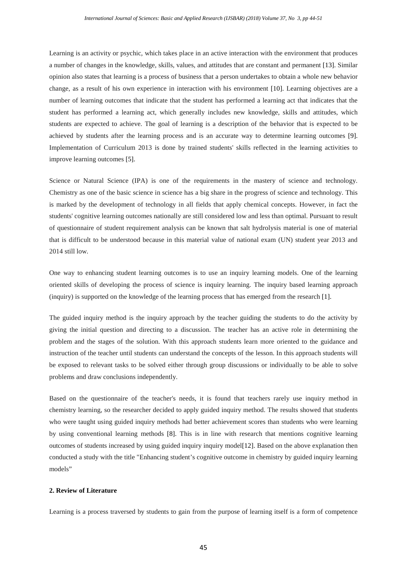Learning is an activity or psychic, which takes place in an active interaction with the environment that produces a number of changes in the knowledge, skills, values, and attitudes that are constant and permanent [13]. Similar opinion also states that learning is a process of business that a person undertakes to obtain a whole new behavior change, as a result of his own experience in interaction with his environment [10]. Learning objectives are a number of learning outcomes that indicate that the student has performed a learning act that indicates that the student has performed a learning act, which generally includes new knowledge, skills and attitudes, which students are expected to achieve. The goal of learning is a description of the behavior that is expected to be achieved by students after the learning process and is an accurate way to determine learning outcomes [9]. Implementation of Curriculum 2013 is done by trained students' skills reflected in the learning activities to improve learning outcomes [5].

Science or Natural Science (IPA) is one of the requirements in the mastery of science and technology. Chemistry as one of the basic science in science has a big share in the progress of science and technology. This is marked by the development of technology in all fields that apply chemical concepts. However, in fact the students' cognitive learning outcomes nationally are still considered low and less than optimal. Pursuant to result of questionnaire of student requirement analysis can be known that salt hydrolysis material is one of material that is difficult to be understood because in this material value of national exam (UN) student year 2013 and 2014 still low.

One way to enhancing student learning outcomes is to use an inquiry learning models. One of the learning oriented skills of developing the process of science is inquiry learning. The inquiry based learning approach (inquiry) is supported on the knowledge of the learning process that has emerged from the research [1].

The guided inquiry method is the inquiry approach by the teacher guiding the students to do the activity by giving the initial question and directing to a discussion. The teacher has an active role in determining the problem and the stages of the solution. With this approach students learn more oriented to the guidance and instruction of the teacher until students can understand the concepts of the lesson. In this approach students will be exposed to relevant tasks to be solved either through group discussions or individually to be able to solve problems and draw conclusions independently.

Based on the questionnaire of the teacher's needs, it is found that teachers rarely use inquiry method in chemistry learning, so the researcher decided to apply guided inquiry method. The results showed that students who were taught using guided inquiry methods had better achievement scores than students who were learning by using conventional learning methods [8]. This is in line with research that mentions cognitive learning outcomes of students increased by using guided inquiry inquiry model[12]. Based on the above explanation then conducted a study with the title "Enhancing student's cognitive outcome in chemistry by guided inquiry learning models"

## **2. Review of Literature**

Learning is a process traversed by students to gain from the purpose of learning itself is a form of competence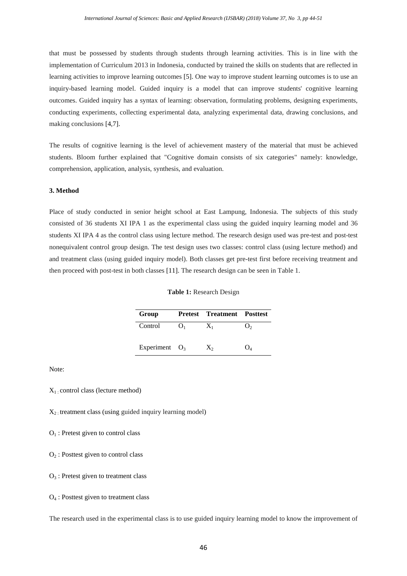that must be possessed by students through students through learning activities. This is in line with the implementation of Curriculum 2013 in Indonesia, conducted by trained the skills on students that are reflected in learning activities to improve learning outcomes [5]. One way to improve student learning outcomes is to use an inquiry-based learning model. Guided inquiry is a model that can improve students' cognitive learning outcomes. Guided inquiry has a syntax of learning: observation, formulating problems, designing experiments, conducting experiments, collecting experimental data, analyzing experimental data, drawing conclusions, and making conclusions [4,7].

The results of cognitive learning is the level of achievement mastery of the material that must be achieved students. Bloom further explained that "Cognitive domain consists of six categories" namely: knowledge, comprehension, application, analysis, synthesis, and evaluation.

## **3. Method**

Place of study conducted in senior height school at East Lampung, Indonesia. The subjects of this study consisted of 36 students XI IPA 1 as the experimental class using the guided inquiry learning model and 36 students XI IPA 4 as the control class using lecture method. The research design used was pre-test and post-test nonequivalent control group design. The test design uses two classes: control class (using lecture method) and and treatment class (using guided inquiry model). Both classes get pre-test first before receiving treatment and then proceed with post-test in both classes [11]. The research design can be seen in Table 1.

| Group            |    | <b>Pretest Treatment Posttest</b> |  |
|------------------|----|-----------------------------------|--|
| Control          | ι. | $X_1$                             |  |
| Experiment $O_3$ |    | $X_{2}$                           |  |

#### **Table 1:** Research Design

Note:

 $X_1$ : control class (lecture method)

 $X_2$ : treatment class (using guided inquiry learning model)

 $O<sub>1</sub>$ : Pretest given to control class

 $O<sub>2</sub>$ : Posttest given to control class

 $O<sub>3</sub>$ : Pretest given to treatment class

#### O4 : Posttest given to treatment class

The research used in the experimental class is to use guided inquiry learning model to know the improvement of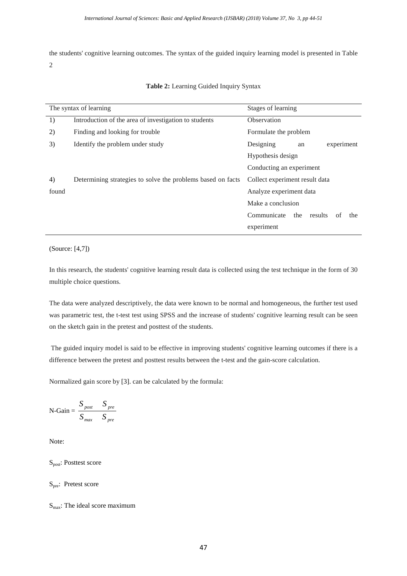the students' cognitive learning outcomes. The syntax of the guided inquiry learning model is presented in Table 2

|       | The syntax of learning                                      | Stages of learning                         |  |  |  |  |  |  |  |
|-------|-------------------------------------------------------------|--------------------------------------------|--|--|--|--|--|--|--|
| 1)    | Introduction of the area of investigation to students       | Observation                                |  |  |  |  |  |  |  |
| 2)    | Finding and looking for trouble                             | Formulate the problem                      |  |  |  |  |  |  |  |
| 3)    | Identify the problem under study                            | Designing<br>experiment<br>an              |  |  |  |  |  |  |  |
|       |                                                             | Hypothesis design                          |  |  |  |  |  |  |  |
|       |                                                             | Conducting an experiment                   |  |  |  |  |  |  |  |
| 4)    | Determining strategies to solve the problems based on facts | Collect experiment result data             |  |  |  |  |  |  |  |
| found |                                                             | Analyze experiment data                    |  |  |  |  |  |  |  |
|       |                                                             | Make a conclusion                          |  |  |  |  |  |  |  |
|       |                                                             | Communicate<br>the<br>results<br>the<br>of |  |  |  |  |  |  |  |
|       |                                                             | experiment                                 |  |  |  |  |  |  |  |

| Table 2: Learning Guided Inquiry Syntax |  |
|-----------------------------------------|--|
|-----------------------------------------|--|

(Source: [4,7])

In this research, the students' cognitive learning result data is collected using the test technique in the form of 30 multiple choice questions.

The data were analyzed descriptively, the data were known to be normal and homogeneous, the further test used was parametric test, the t-test test using SPSS and the increase of students' cognitive learning result can be seen on the sketch gain in the pretest and posttest of the students.

The guided inquiry model is said to be effective in improving students' cognitive learning outcomes if there is a difference between the pretest and posttest results between the t-test and the gain-score calculation.

Normalized gain score by [3]. can be calculated by the formula:

$$
N\text{-Gain} = \frac{S_{\text{post}} - S_{\text{pre}}}{S_{\text{max}} - S_{\text{pre}}}
$$

Note:

Spost: Posttest score

S<sub>pre</sub>: Pretest score

 $S<sub>max</sub>$ : The ideal score maximum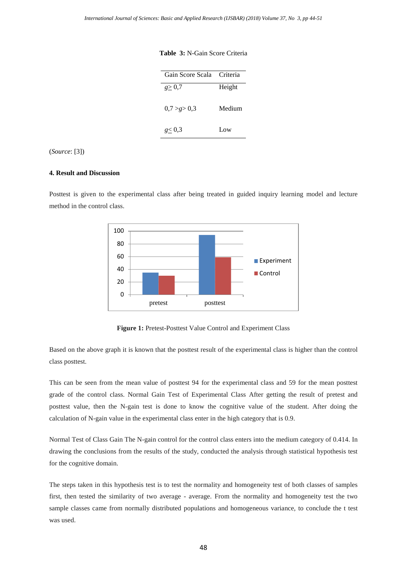| Gain Score Scala Criteria |        |
|---------------------------|--------|
| g > 0.7                   | Height |
| 0,7 > g > 0,3             | Medium |
| g < 0.3                   |        |

#### **Table 3:** N-Gain Score Criteria

(*Source*: [3])

## **4. Result and Discussion**

Posttest is given to the experimental class after being treated in guided inquiry learning model and lecture method in the control class.



**Figure 1:** Pretest-Posttest Value Control and Experiment Class

Based on the above graph it is known that the posttest result of the experimental class is higher than the control class posttest.

This can be seen from the mean value of posttest 94 for the experimental class and 59 for the mean posttest grade of the control class. Normal Gain Test of Experimental Class After getting the result of pretest and posttest value, then the N-gain test is done to know the cognitive value of the student. After doing the calculation of N-gain value in the experimental class enter in the high category that is 0.9.

Normal Test of Class Gain The N-gain control for the control class enters into the medium category of 0.414. In drawing the conclusions from the results of the study, conducted the analysis through statistical hypothesis test for the cognitive domain.

The steps taken in this hypothesis test is to test the normality and homogeneity test of both classes of samples first, then tested the similarity of two average - average. From the normality and homogeneity test the two sample classes came from normally distributed populations and homogeneous variance, to conclude the t test was used.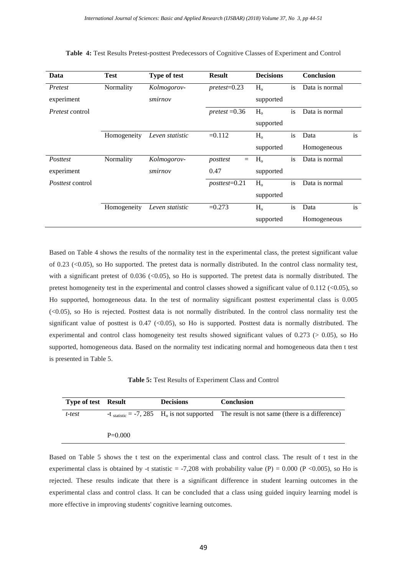| Data                    | <b>Test</b> | <b>Type of test</b> | <b>Result</b>     | <b>Decisions</b> |           | <b>Conclusion</b> |    |
|-------------------------|-------------|---------------------|-------------------|------------------|-----------|-------------------|----|
| Pretest                 | Normality   | Kolmogorov-         | $pretest = 0.23$  | H <sub>o</sub>   | is        | Data is normal    |    |
| experiment              |             | smirnov             |                   | supported        |           |                   |    |
| <i>Pretest control</i>  |             |                     | $pretest = 0.36$  | $H_{o}$          | is        | Data is normal    |    |
|                         |             |                     |                   | supported        |           |                   |    |
|                         | Homogeneity | Leven statistic     | $=0.112$          | H <sub>o</sub>   | <i>is</i> | Data              | is |
|                         |             |                     |                   | supported        |           | Homogeneous       |    |
| Posttest                | Normality   | Kolmogorov-         | posttest<br>$=$   | $H_{o}$          | is        | Data is normal    |    |
| experiment              |             | smirnov             | 0.47              | supported        |           |                   |    |
| <i>Posttest</i> control |             |                     | $posttest = 0.21$ | H <sub>o</sub>   | is        | Data is normal    |    |
|                         |             |                     |                   | supported        |           |                   |    |
|                         | Homogeneity | Leven statistic     | $=0.273$          | H <sub>o</sub>   | is        | Data              | is |
|                         |             |                     |                   | supported        |           | Homogeneous       |    |

|  |  |  |  |  |  | Table 4: Test Results Pretest-posttest Predecessors of Cognitive Classes of Experiment and Control |  |  |  |  |  |  |  |  |  |  |  |  |
|--|--|--|--|--|--|----------------------------------------------------------------------------------------------------|--|--|--|--|--|--|--|--|--|--|--|--|
|--|--|--|--|--|--|----------------------------------------------------------------------------------------------------|--|--|--|--|--|--|--|--|--|--|--|--|

Based on Table 4 shows the results of the normality test in the experimental class, the pretest significant value of 0.23  $(\leq 0.05)$ , so Ho supported. The pretest data is normally distributed. In the control class normality test, with a significant pretest of  $0.036$  (<0.05), so Ho is supported. The pretest data is normally distributed. The pretest homogeneity test in the experimental and control classes showed a significant value of 0.112 (<0.05), so Ho supported, homogeneous data. In the test of normality significant posttest experimental class is 0.005 (<0.05), so Ho is rejected. Posttest data is not normally distributed. In the control class normality test the significant value of posttest is 0.47 (<0.05), so Ho is supported. Posttest data is normally distributed. The experimental and control class homogeneity test results showed significant values of 0.273 (> 0.05), so Ho supported, homogeneous data. Based on the normality test indicating normal and homogeneous data then t test is presented in Table 5.

**Table 5:** Test Results of Experiment Class and Control

| <b>Type of test</b> Result |           | <b>Decisions</b> | <b>Conclusion</b>                                                                                          |
|----------------------------|-----------|------------------|------------------------------------------------------------------------------------------------------------|
| t-test                     |           |                  | -t $_{statistic}$ = -7, 285 H <sub>0</sub> is not supported The result is not same (there is a difference) |
|                            | $P=0.000$ |                  |                                                                                                            |

Based on Table 5 shows the t test on the experimental class and control class. The result of t test in the experimental class is obtained by -t statistic = -7,208 with probability value (P) = 0.000 (P <0.005), so Ho is rejected. These results indicate that there is a significant difference in student learning outcomes in the experimental class and control class. It can be concluded that a class using guided inquiry learning model is more effective in improving students' cognitive learning outcomes.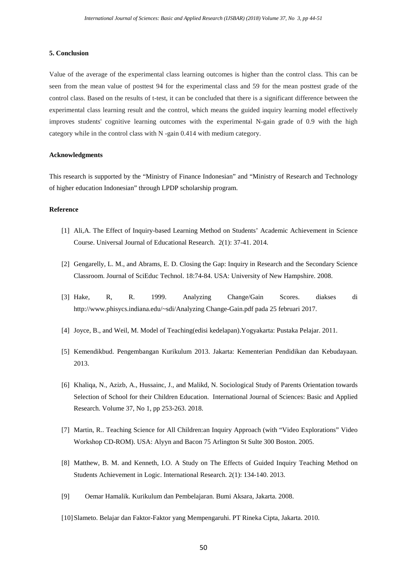## **5. Conclusion**

Value of the average of the experimental class learning outcomes is higher than the control class. This can be seen from the mean value of posttest 94 for the experimental class and 59 for the mean posttest grade of the control class. Based on the results of t-test, it can be concluded that there is a significant difference between the experimental class learning result and the control, which means the guided inquiry learning model effectively improves students' cognitive learning outcomes with the experimental N-gain grade of 0.9 with the high category while in the control class with N -gain 0.414 with medium category.

## **Acknowledgments**

This research is supported by the "Ministry of Finance Indonesian" and "Ministry of Research and Technology of higher education Indonesian" through LPDP scholarship program.

#### **Reference**

- [1] Ali,A. The Effect of Inquiry-based Learning Method on Students' Academic Achievement in Science Course. Universal Journal of Educational Research. 2(1): 37-41. 2014.
- [2] Gengarelly, L. M., and Abrams, E. D. Closing the Gap: Inquiry in Research and the Secondary Science Classroom. Journal of SciEduc Technol. 18:74-84. USA: University of New Hampshire. 2008.
- [3] Hake, R, R. 1999. Analyzing Change/Gain Scores. diakses di [http://www.phisycs.indiana.edu/~sdi/Analyzing Change-Gain.pdf pada 25 februari 2017.](http://www.phisycs.indiana.edu/%7Esdi/Analyzing%20Change-Gain.pdf%20pada%2025%20februari%202017)
- [4] Joyce, B., and Weil, M. Model of Teaching(edisi kedelapan).Yogyakarta: Pustaka Pelajar. 2011.
- [5] Kemendikbud. Pengembangan Kurikulum 2013. Jakarta: Kementerian Pendidikan dan Kebudayaan. 2013.
- [6] Khaliqa, N., Azizb, A., Hussainc, J., and Malikd, N. Sociological Study of Parents Orientation towards Selection of School for their Children Education. International Journal of Sciences: Basic and Applied Research. Volume 37, No 1, pp 253-263. 2018.
- [7] Martin, R.. Teaching Science for All Children:an Inquiry Approach (with "Video Explorations" Video Workshop CD-ROM). USA: Alyyn and Bacon 75 Arlington St Sulte 300 Boston. 2005.
- [8] Matthew, B. M. and Kenneth, I.O. A Study on The Effects of Guided Inquiry Teaching Method on Students Achievement in Logic. International Research. 2(1): 134-140. 2013.
- [9] Oemar Hamalik. Kurikulum dan Pembelajaran. Bumi Aksara, Jakarta. 2008.
- [10]Slameto. Belajar dan Faktor-Faktor yang Mempengaruhi. PT Rineka Cipta, Jakarta. 2010.